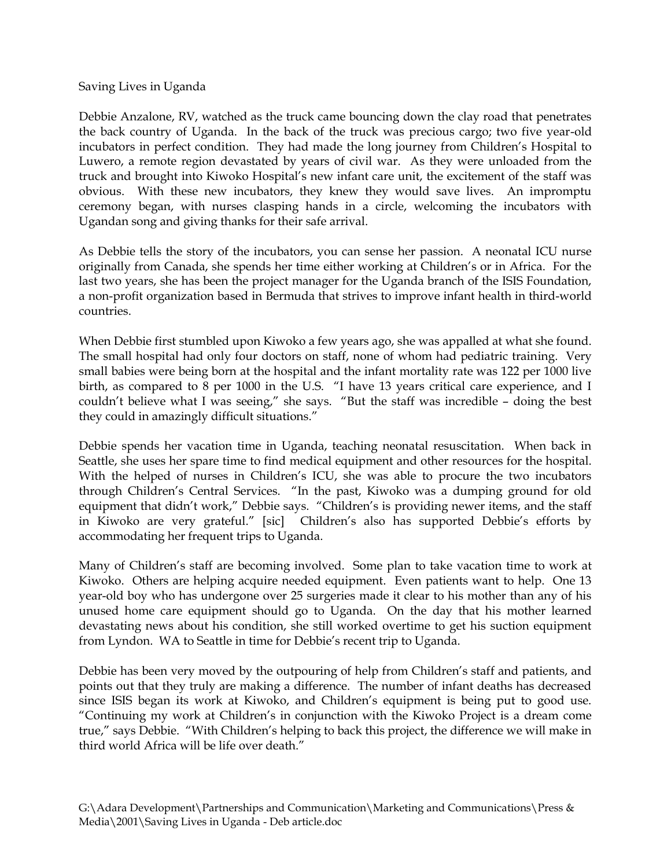Saving Lives in Uganda

Debbie Anzalone, RV, watched as the truck came bouncing down the clay road that penetrates the back country of Uganda. In the back of the truck was precious cargo; two five year-old incubators in perfect condition. They had made the long journey from Children's Hospital to Luwero, a remote region devastated by years of civil war. As they were unloaded from the truck and brought into Kiwoko Hospital's new infant care unit, the excitement of the staff was obvious. With these new incubators, they knew they would save lives. An impromptu ceremony began, with nurses clasping hands in a circle, welcoming the incubators with Ugandan song and giving thanks for their safe arrival.

As Debbie tells the story of the incubators, you can sense her passion. A neonatal ICU nurse originally from Canada, she spends her time either working at Children's or in Africa. For the last two years, she has been the project manager for the Uganda branch of the ISIS Foundation, a non-profit organization based in Bermuda that strives to improve infant health in third-world countries.

When Debbie first stumbled upon Kiwoko a few years ago, she was appalled at what she found. The small hospital had only four doctors on staff, none of whom had pediatric training. Very small babies were being born at the hospital and the infant mortality rate was 122 per 1000 live birth, as compared to  $\bar{8}$  per 1000 in the U.S. "I have 13 years critical care experience, and I couldn't believe what I was seeing," she says. "But the staff was incredible – doing the best they could in amazingly difficult situations."

Debbie spends her vacation time in Uganda, teaching neonatal resuscitation. When back in Seattle, she uses her spare time to find medical equipment and other resources for the hospital. With the helped of nurses in Children's ICU, she was able to procure the two incubators through Children's Central Services. "In the past, Kiwoko was a dumping ground for old equipment that didn't work," Debbie says. "Children's is providing newer items, and the staff in Kiwoko are very grateful." [sic] Children's also has supported Debbie's efforts by accommodating her frequent trips to Uganda.

Many of Children's staff are becoming involved. Some plan to take vacation time to work at Kiwoko. Others are helping acquire needed equipment. Even patients want to help. One 13 year-old boy who has undergone over 25 surgeries made it clear to his mother than any of his unused home care equipment should go to Uganda. On the day that his mother learned devastating news about his condition, she still worked overtime to get his suction equipment from Lyndon. WA to Seattle in time for Debbie's recent trip to Uganda.

Debbie has been very moved by the outpouring of help from Children's staff and patients, and points out that they truly are making a difference. The number of infant deaths has decreased since ISIS began its work at Kiwoko, and Children's equipment is being put to good use. "Continuing my work at Children's in conjunction with the Kiwoko Project is a dream come true," says Debbie. "With Children's helping to back this project, the difference we will make in third world Africa will be life over death."